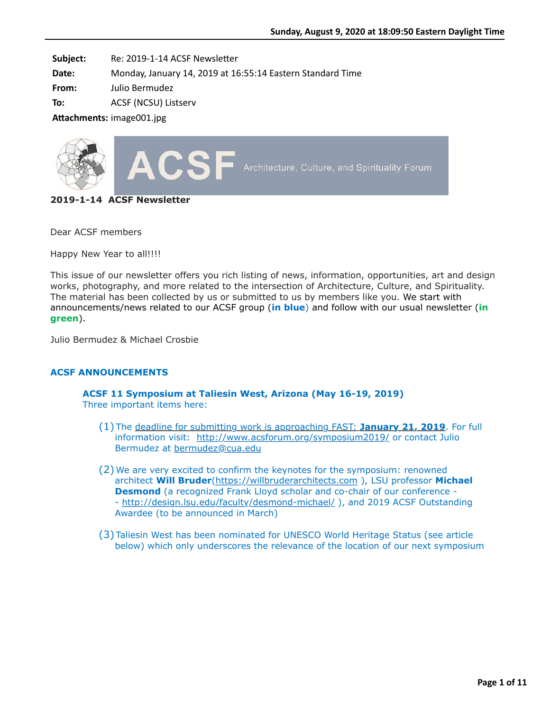**Subject:** Re: 2019-1-14 ACSF Newsletter

**Date:** Monday, January 14, 2019 at 16:55:14 Eastern Standard Time

**From:** Julio Bermudez

**To:** ACSF (NCSU) Listserv

**Attachments:** image001.jpg



**2019-1-14 ACSF Newsletter**

Dear ACSF members

Happy New Year to all!!!!

This issue of our newsletter offers you rich listing of news, information, opportunities, art and design works, photography, and more related to the intersection of Architecture, Culture, and Spirituality. The material has been collected by us or submitted to us by members like you. We start with announcements/news related to our ACSF group (**in blue**) and follow with our usual newsletter (**in green**).

Julio Bermudez & Michael Crosbie

### **ACSF ANNOUNCEMENTS**

#### **ACSF 11 Symposium at Taliesin West, Arizona (May 16-19, 2019)** Three important items here:

- (1) The deadline for submitting work is approaching FAST: **January 21, 2019**. For full information visit: <http://www.acsforum.org/symposium2019/> or contact Julio Bermudez at [bermudez@cua.edu](mailto:bermudez@cua.edu)
- (2) We are very excited to confirm the keynotes for the symposium: renowned architect **Will Bruder**[\(https://willbruderarchitects.com](https://willbruderarchitects.com/) ), LSU professor **Michael Desmond** (a recognized Frank Lloyd scholar and co-chair of our conference -- <http://design.lsu.edu/faculty/desmond-michael/> ), and 2019 ACSF Outstanding Awardee (to be announced in March)
- (3) Taliesin West has been nominated for UNESCO World Heritage Status (see article below) which only underscores the relevance of the location of our next symposium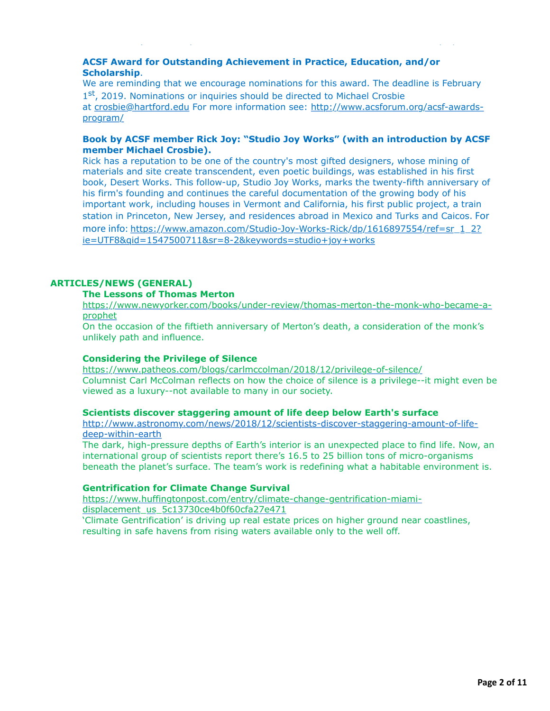# **ACSF Award for Outstanding Achievement in Practice, Education, and/or Scholarship**.

We are reminding that we encourage nominations for this award. The deadline is February 1<sup>st</sup>, 2019. Nominations or inquiries should be directed to Michael Crosbie [at](http://www.acsforum.org/acsf-awards-program/) [crosbie@hartford.edu](mailto:crosbie@hartford.edu) [For more information see: http://www.acsforum.org/acsf-awards](http://www.acsforum.org/acsf-awards-program/)program/

 $\mathbf{b}$  which only underscores the relevance of the location of the location of our next symposium of our next symposium

### **Book by ACSF member Rick Joy: "Studio Joy Works" (with an introduction by ACSF member Michael Crosbie).**

Rick has a reputation to be one of the country's most gifted designers, whose mining of materials and site create transcendent, even poetic buildings, was established in his first book, Desert Works. This follow-up, Studio Joy Works, marks the twenty-fifth anniversary of his firm's founding and continues the careful documentation of the growing body of his important work, including houses in Vermont and California, his first public project, a train station in Princeton, New Jersey, and residences abroad in Mexico and Turks and Caicos. For more info: [https://www.amazon.com/Studio-Joy-Works-Rick/dp/1616897554/ref=sr\\_1\\_2?](https://www.amazon.com/Studio-Joy-Works-Rick/dp/1616897554/ref=sr_1_2?ie=UTF8&qid=1547500711&sr=8-2&keywords=studio+joy+works) ie=UTF8&qid=1547500711&sr=8-2&keywords=studio+joy+works

# **ARTICLES/NEWS (GENERAL)**

### **The Lessons of Thomas Merton**

[https://www.newyorker.com/books/under-review/thomas-merton-the-monk-who-became-a](https://www.newyorker.com/books/under-review/thomas-merton-the-monk-who-became-a-prophet)prophet

On the occasion of the fiftieth anniversary of Merton's death, a consideration of the monk's unlikely path and influence.

#### **Considering the Privilege of Silence**

<https://www.patheos.com/blogs/carlmccolman/2018/12/privilege-of-silence/> Columnist Carl McColman reflects on how the choice of silence is a privilege--it might even be viewed as a luxury--not available to many in our society.

#### **Scientists discover staggering amount of life deep below Earth's surface**

[http://www.astronomy.com/news/2018/12/scientists-discover-staggering-amount-of-life](http://www.astronomy.com/news/2018/12/scientists-discover-staggering-amount-of-life-deep-within-earth)deep-within-earth

The dark, high-pressure depths of Earth's interior is an unexpected place to find life. Now, an international group of scientists report there's 16.5 to 25 billion tons of micro-organisms beneath the planet's surface. The team's work is redefining what a habitable environment is.

### **Gentrification for Climate Change Survival**

[https://www.huffingtonpost.com/entry/climate-change-gentrification-miami](https://www.huffingtonpost.com/entry/climate-change-gentrification-miami-displacement_us_5c13730ce4b0f60cfa27e471)displacement\_us\_5c13730ce4b0f60cfa27e471

'Climate Gentrification' is driving up real estate prices on higher ground near coastlines, resulting in safe havens from rising waters available only to the well off.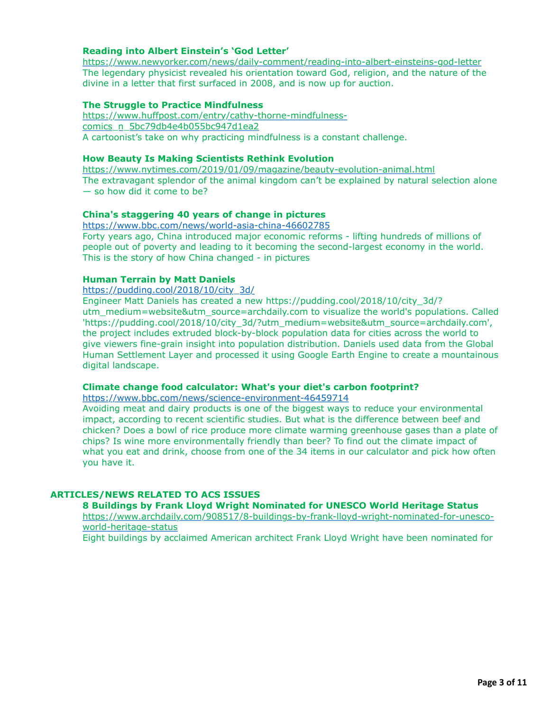# **Reading into Albert Einstein's 'God Letter'**

<https://www.newyorker.com/news/daily-comment/reading-into-albert-einsteins-god-letter> The legendary physicist revealed his orientation toward God, religion, and the nature of the divine in a letter that first surfaced in 2008, and is now up for auction.

### **The Struggle to Practice Mindfulness**

[https://www.huffpost.com/entry/cathy-thorne-mindfulness](https://www.huffpost.com/entry/cathy-thorne-mindfulness-comics_n_5bc79db4e4b055bc947d1ea2)comics\_n\_5bc79db4e4b055bc947d1ea2 A cartoonist's take on why practicing mindfulness is a constant challenge.

#### **How Beauty Is Making Scientists Rethink Evolution**

<https://www.nytimes.com/2019/01/09/magazine/beauty-evolution-animal.html> The extravagant splendor of the animal kingdom can't be explained by natural selection alone — so how did it come to be?

### **China's staggering 40 years of change in pictures**

<https://www.bbc.com/news/world-asia-china-46602785> Forty years ago, China introduced major economic reforms - lifting hundreds of millions of people out of poverty and leading to it becoming the second-largest economy in the world. This is the story of how China changed - in pictures

#### **Human Terrain by Matt Daniels**

[https://pudding.cool/2018/10/city\\_3d/](https://pudding.cool/2018/10/city_3d/)

Engineer Matt Daniels has created a new https://pudding.cool/2018/10/city\_3d/? utm\_medium=website&utm\_source=archdaily.com to visualize the world's populations. Called 'https://pudding.cool/2018/10/city\_3d/?utm\_medium=website&utm\_source=archdaily.com', the project includes extruded block-by-block population data for cities across the world to give viewers fine-grain insight into population distribution. Daniels used data from the Global Human Settlement Layer and processed it using Google Earth Engine to create a mountainous digital landscape.

#### **Climate change food calculator: What's your diet's carbon footprint?**

<https://www.bbc.com/news/science-environment-46459714>

Avoiding meat and dairy products is one of the biggest ways to reduce your environmental impact, according to recent scientific studies. But what is the difference between beef and chicken? Does a bowl of rice produce more climate warming greenhouse gases than a plate of chips? Is wine more environmentally friendly than beer? To find out the climate impact of what you eat and drink, choose from one of the 34 items in our calculator and pick how often you have it.

### **ARTICLES/NEWS RELATED TO ACS ISSUES**

#### **8 Buildings by Frank Lloyd Wright Nominated for UNESCO World Heritage Status**

[https://www.archdaily.com/908517/8-buildings-by-frank-lloyd-wright-nominated-for-unesco](https://www.archdaily.com/908517/8-buildings-by-frank-lloyd-wright-nominated-for-unesco-world-heritage-status)world-heritage-status

Eight buildings by acclaimed American architect Frank Lloyd Wright have been nominated for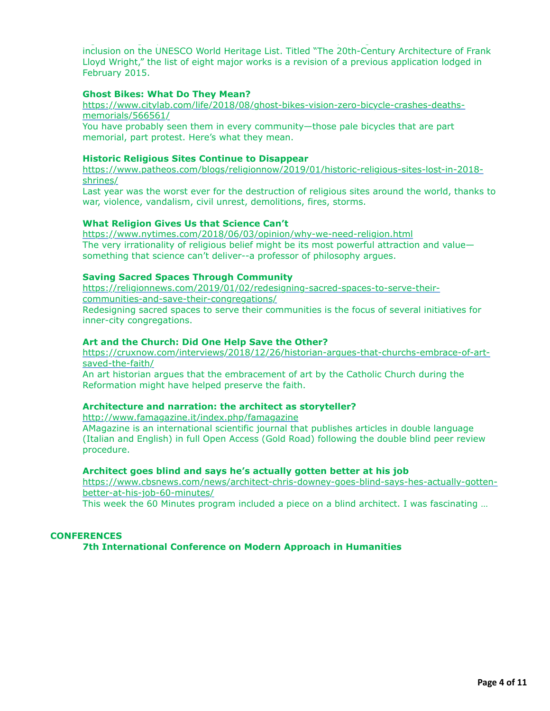inclusion on the UNESCO World Heritage List. Titled "The 20th-Century Architecture of Frank Lloyd Wright," the list of eight major works is a revision of a previous application lodged in February 2015.

Eight buildings by acclaimed American architect Frank Lloyd Wright have been nominated for

#### **Ghost Bikes: What Do They Mean?**

[https://www.citylab.com/life/2018/08/ghost-bikes-vision-zero-bicycle-crashes-deaths](https://www.citylab.com/life/2018/08/ghost-bikes-vision-zero-bicycle-crashes-deaths-memorials/566561/)memorials/566561/

You have probably seen them in every community—those pale bicycles that are part memorial, part protest. Here's what they mean.

### **Historic Religious Sites Continue to Disappear**

[https://www.patheos.com/blogs/religionnow/2019/01/historic-religious-sites-lost-in-2018](https://www.patheos.com/blogs/religionnow/2019/01/historic-religious-sites-lost-in-2018-shrines/) shrines/

Last year was the worst ever for the destruction of religious sites around the world, thanks to war, violence, vandalism, civil unrest, demolitions, fires, storms.

### **What Religion Gives Us that Science Can't**

<https://www.nytimes.com/2018/06/03/opinion/why-we-need-religion.html> The very irrationality of religious belief might be its most powerful attraction and value something that science can't deliver--a professor of philosophy argues.

#### **Saving Sacred Spaces Through Community**

[https://religionnews.com/2019/01/02/redesigning-sacred-spaces-to-serve-their](https://religionnews.com/2019/01/02/redesigning-sacred-spaces-to-serve-their-communities-and-save-their-congregations/)communities-and-save-their-congregations/ Redesigning sacred spaces to serve their communities is the focus of several initiatives for inner-city congregations.

#### **Art and the Church: Did One Help Save the Other?**

[https://cruxnow.com/interviews/2018/12/26/historian-argues-that-churchs-embrace-of-art](https://cruxnow.com/interviews/2018/12/26/historian-argues-that-churchs-embrace-of-art-saved-the-faith/)saved-the-faith/

An art historian argues that the embracement of art by the Catholic Church during the Reformation might have helped preserve the faith.

#### **Architecture and narration: the architect as storyteller?**

<http://www.famagazine.it/index.php/famagazine>

AMagazine is an international scientific journal that publishes articles in double language (Italian and English) in full Open Access (Gold Road) following the double blind peer review procedure.

#### **Architect goes blind and says he's actually gotten better at his job**

[https://www.cbsnews.com/news/architect-chris-downey-goes-blind-says-hes-actually-gotten](https://www.cbsnews.com/news/architect-chris-downey-goes-blind-says-hes-actually-gotten-better-at-his-job-60-minutes/)better-at-his-job-60-minutes/

This week the 60 Minutes program included a piece on a blind architect. I was fascinating …

### **CONFERENCES**

#### **7th International Conference on Modern Approach in Humanities**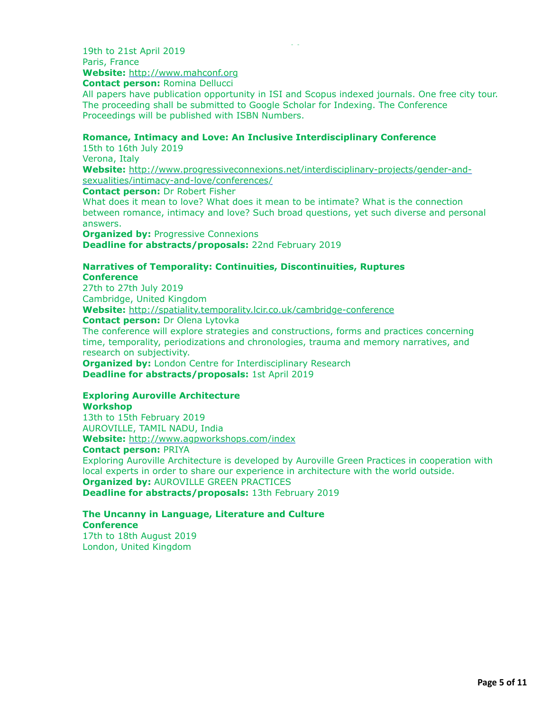**Contact person:** Romina Dellucci

All papers have publication opportunity in ISI and Scopus indexed journals. One free city tour. The proceeding shall be submitted to Google Scholar for Indexing. The Conference Proceedings will be published with ISBN Numbers.

#### **Romance, Intimacy and Love: An Inclusive Interdisciplinary Conference**

**7th International Conference on Modern Approach in Humanities**

15th to 16th July 2019 Verona, Italy **Website:** [http://www.progressiveconnexions.net/interdisciplinary-projects/gender-and-](http://www.progressiveconnexions.net/interdisciplinary-projects/gender-and-sexualities/intimacy-and-love/conferences/)

sexualities/intimacy-and-love/conferences/ **Contact person:** Dr Robert Fisher

What does it mean to love? What does it mean to be intimate? What is the connection between romance, intimacy and love? Such broad questions, yet such diverse and personal answers.

**Organized by: Progressive Connexions Deadline for abstracts/proposals:** 22nd February 2019

#### **Narratives of Temporality: Continuities, Discontinuities, Ruptures Conference**

27th to 27th July 2019 Cambridge, United Kingdom **Website:** <http://spatiality.temporality.lcir.co.uk/cambridge-conference> **Contact person:** Dr Olena Lytovka

The conference will explore strategies and constructions, forms and practices concerning time, temporality, periodizations and chronologies, trauma and memory narratives, and research on subjectivity.

**Organized by:** London Centre for Interdisciplinary Research **Deadline for abstracts/proposals:** 1st April 2019

### **Exploring Auroville Architecture**

**Workshop**

13th to 15th February 2019 AUROVILLE, TAMIL NADU, India **Website:** <http://www.agpworkshops.com/index>

**Contact person:** PRIYA

Exploring Auroville Architecture is developed by Auroville Green Practices in cooperation with local experts in order to share our experience in architecture with the world outside. **Organized by:** AUROVILLE GREEN PRACTICES **Deadline for abstracts/proposals:** 13th February 2019

# **The Uncanny in Language, Literature and Culture Conference**

17th to 18th August 2019 London, United Kingdom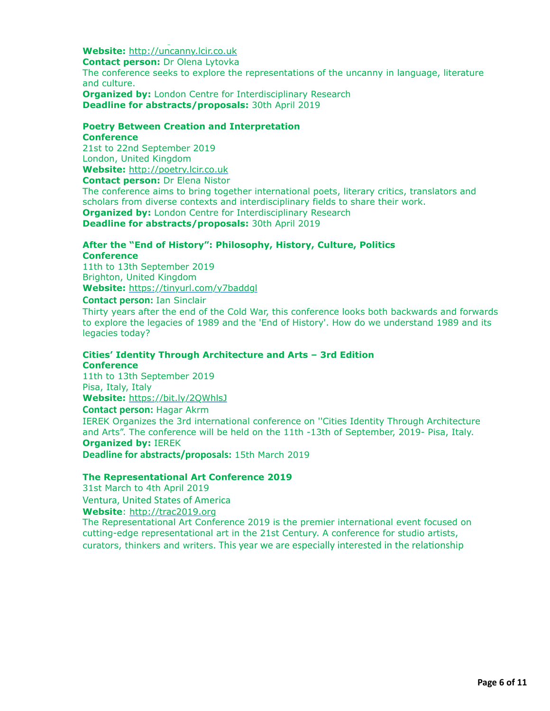**Website:** [http://uncanny.lcir.co.uk](http://uncanny.lcir.co.uk/) **Contact person:** Dr Olena Lytovka The conference seeks to explore the representations of the uncanny in language, literature and culture. **Organized by:** London Centre for Interdisciplinary Research **Deadline for abstracts/proposals:** 30th April 2019

#### **Poetry Between Creation and Interpretation Conference**

21st to 22nd September 2019 London, United Kingdom **Website:** [http://poetry.lcir.co.uk](http://poetry.lcir.co.uk/) **Contact person:** Dr Elena Nistor The conference aims to bring together international poets, literary critics, translators and scholars from diverse contexts and interdisciplinary fields to share their work. **Organized by:** London Centre for Interdisciplinary Research **Deadline for abstracts/proposals:** 30th April 2019

# **After the "End of History": Philosophy, History, Culture, Politics Conference**

11th to 13th September 2019 Brighton, United Kingdom **Website:** <https://tinyurl.com/y7baddgl>

#### **Contact person:** Ian Sinclair

London, United Kingdom

Thirty years after the end of the Cold War, this conference looks both backwards and forwards to explore the legacies of 1989 and the 'End of History'. How do we understand 1989 and its legacies today?

# **Cities' Identity Through Architecture and Arts – 3rd Edition**

# **Conference**

11th to 13th September 2019 Pisa, Italy, Italy **Website:** <https://bit.ly/2QWhlsJ>

### **Contact person:** Hagar Akrm

IEREK Organizes the 3rd international conference on ''Cities Identity Through Architecture and Arts". The conference will be held on the 11th -13th of September, 2019- Pisa, Italy. **Organized by:** IEREK

**Deadline for abstracts/proposals:** 15th March 2019

### **The Representational Art Conference 2019**

31st March to 4th April 2019 Ventura, United States of America

**Website**: [http://trac2019.org](http://trac2019.org/)

The Representational Art Conference 2019 is the premier international event focused on cutting-edge representational art in the 21st Century. A conference for studio artists, curators, thinkers and writers. This year we are especially interested in the relationship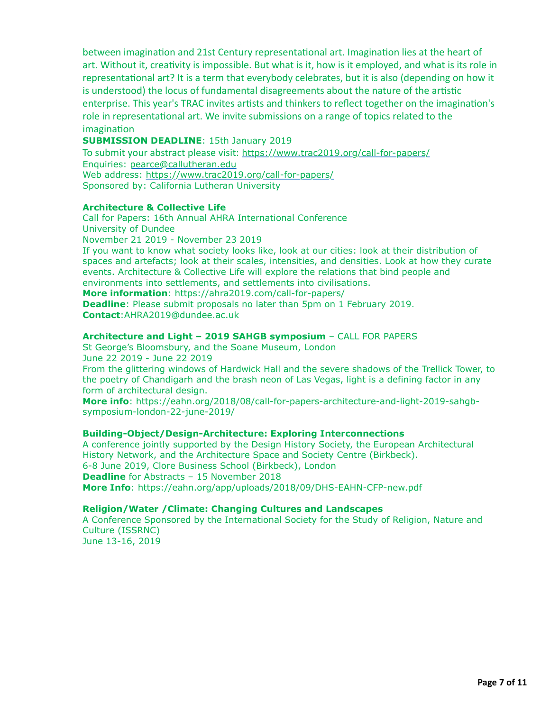between imagination and 21st Century representational art. Imagination lies at the heart of art. Without it, creativity is impossible. But what is it, how is it employed, and what is its role in representational art? It is a term that everybody celebrates, but it is also (depending on how it is understood) the locus of fundamental disagreements about the nature of the artistic enterprise. This year's TRAC invites artists and thinkers to reflect together on the imagination's role in representational art. We invite submissions on a range of topics related to the imagination

curators, thinkers and writers. This year we are especially interested in the relaTonship

### **SUBMISSION DEADLINE**: 15th January 2019

To submit your abstract please visit: <https://www.trac2019.org/call-for-papers/> Enquiries: [pearce@callutheran.edu](mailto:pearce@callutheran.edu) Web address: <https://www.trac2019.org/call-for-papers/> Sponsored by: California Lutheran University

### **Architecture & Collective Life**

Call for Papers: 16th Annual AHRA International Conference University of Dundee November 21 2019 - November 23 2019 If you want to know what society looks like, look at our cities: look at their distribution of spaces and artefacts; look at their scales, intensities, and densities. Look at how they curate events. Architecture & Collective Life will explore the relations that bind people and environments into settlements, and settlements into civilisations. **More information**: https://ahra2019.com/call-for-papers/

**Deadline**: Please submit proposals no later than 5pm on 1 February 2019. **Contact**:AHRA2019@dundee.ac.uk

#### **Architecture and Light – 2019 SAHGB symposium** – CALL FOR PAPERS

St George's Bloomsbury, and the Soane Museum, London June 22 2019 - June 22 2019 From the glittering windows of Hardwick Hall and the severe shadows of the Trellick Tower, to the poetry of Chandigarh and the brash neon of Las Vegas, light is a defining factor in any form of architectural design.

**More info**: https://eahn.org/2018/08/call-for-papers-architecture-and-light-2019-sahgbsymposium-london-22-june-2019/

### **Building-Object/Design-Architecture: Exploring Interconnections**

A conference jointly supported by the Design History Society, the European Architectural History Network, and the Architecture Space and Society Centre (Birkbeck). 6-8 June 2019, Clore Business School (Birkbeck), London **Deadline** for Abstracts – 15 November 2018 **More Info**: https://eahn.org/app/uploads/2018/09/DHS-EAHN-CFP-new.pdf

### **Religion/Water /Climate: Changing Cultures and Landscapes**

A Conference Sponsored by the International Society for the Study of Religion, Nature and Culture (ISSRNC)

June 13-16, 2019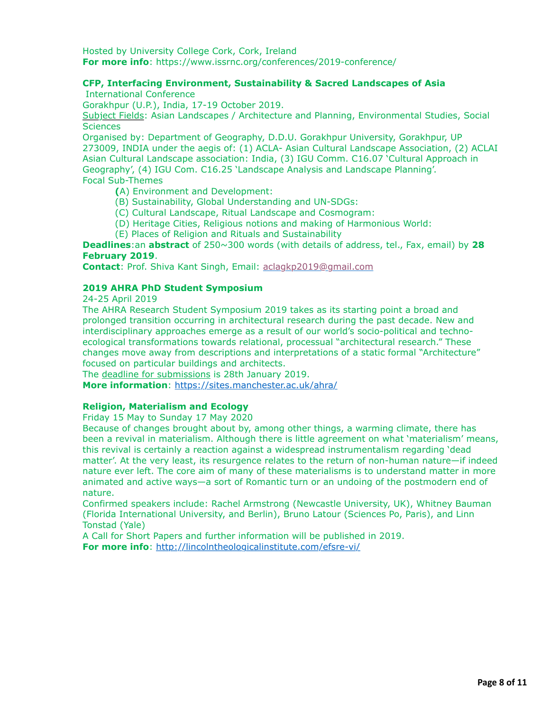Hosted by University College Cork, Cork, Ireland **For more info**: https://www.issrnc.org/conferences/2019-conference/

# **CFP, Interfacing Environment, Sustainability & Sacred Landscapes of Asia**

International Conference

 $J_{\rm eff}$  ,  $J_{\rm eff}$  ,  $J_{\rm eff}$  ,  $J_{\rm eff}$  ,  $J_{\rm eff}$  ,  $J_{\rm eff}$  ,  $J_{\rm eff}$  ,  $J_{\rm eff}$  ,  $J_{\rm eff}$  ,  $J_{\rm eff}$ 

Gorakhpur (U.P.), India, 17-19 October 2019.

Subject Fields: Asian Landscapes / Architecture and Planning, Environmental Studies, Social **Sciences** 

Organised by: Department of Geography, D.D.U. Gorakhpur University, Gorakhpur, UP 273009, INDIA under the aegis of: (1) ACLA- Asian Cultural Landscape Association, (2) ACLAI Asian Cultural Landscape association: India, (3) IGU Comm. C16.07 'Cultural Approach in Geography', (4) IGU Com. C16.25 'Landscape Analysis and Landscape Planning'. Focal Sub-Themes

**(**A) Environment and Development:

- (B) Sustainability, Global Understanding and UN-SDGs:
- (C) Cultural Landscape, Ritual Landscape and Cosmogram:
- (D) Heritage Cities, Religious notions and making of Harmonious World:
- (E) Places of Religion and Rituals and Sustainability

**Deadlines**:an **abstract** of 250~300 words (with details of address, tel., Fax, email) by **28 February 2019**.

**Contact**: Prof. Shiva Kant Singh, Email: [aclagkp2019@gmail.com](mailto:aclagkp2019@gmail.com)

### **2019 AHRA PhD Student Symposium**

24-25 April 2019

The AHRA Research Student Symposium 2019 takes as its starting point a broad and prolonged transition occurring in architectural research during the past decade. New and interdisciplinary approaches emerge as a result of our world's socio-political and technoecological transformations towards relational, processual "architectural research." These changes move away from descriptions and interpretations of a static formal "Architecture" focused on particular buildings and architects.

The deadline for submissions is 28th January 2019.

**More information**: <https://sites.manchester.ac.uk/ahra/>

### **Religion, Materialism and Ecology**

Friday 15 May to Sunday 17 May 2020

Because of changes brought about by, among other things, a warming climate, there has been a revival in materialism. Although there is little agreement on what 'materialism' means, this revival is certainly a reaction against a widespread instrumentalism regarding 'dead matter'. At the very least, its resurgence relates to the return of non-human nature—if indeed nature ever left. The core aim of many of these materialisms is to understand matter in more animated and active ways—a sort of Romantic turn or an undoing of the postmodern end of nature.

Confirmed speakers include: Rachel Armstrong (Newcastle University, UK), Whitney Bauman (Florida International University, and Berlin), Bruno Latour (Sciences Po, Paris), and Linn Tonstad (Yale)

A Call for Short Papers and further information will be published in 2019. **For more info**: <http://lincolntheologicalinstitute.com/efsre-vi/>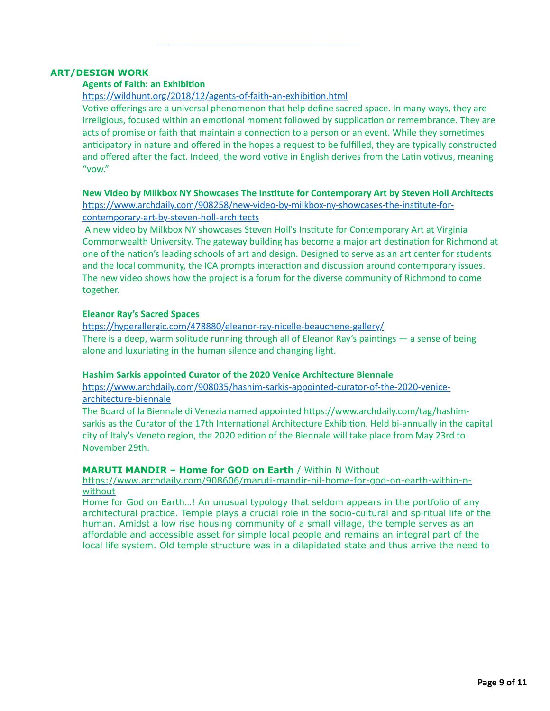#### **ART/DESIGN WORK**

### **Agents of Faith: an Exhibition**

https://wildhunt.org/2018/12/agents-of-faith-an-exhibition.html

**For more info**: <http://lincolntheologicalinstitute.com/efsre-vi/>

Votive offerings are a universal phenomenon that help define sacred space. In many ways, they are irreligious, focused within an emotional moment followed by supplication or remembrance. They are acts of promise or faith that maintain a connection to a person or an event. While they sometimes anticipatory in nature and offered in the hopes a request to be fulfilled, they are typically constructed and offered after the fact. Indeed, the word votive in English derives from the Latin votivus, meaning "vow."

**New Video by Milkbox NY Showcases The Institute for Contemporary Art by Steven Holl Architects** https://www.archdaily.com/908258/new-video-by-milkbox-ny-showcases-the-institute-forcontemporary-art-by-steven-holl-architects

A new video by Milkbox NY showcases Steven Holl's Institute for Contemporary Art at Virginia Commonwealth University. The gateway building has become a major art destination for Richmond at one of the nation's leading schools of art and design. Designed to serve as an art center for students and the local community, the ICA prompts interaction and discussion around contemporary issues. The new video shows how the project is a forum for the diverse community of Richmond to come together.

#### **Eleanor Ray's Sacred Spaces**

https://hyperallergic.com/478880/eleanor-ray-nicelle-beauchene-gallery/ There is a deep, warm solitude running through all of Eleanor Ray's paintings  $-$  a sense of being alone and luxuriating in the human silence and changing light.

### **Hashim Sarkis appointed Curator of the 2020 Venice Architecture Biennale**

https://www.archdaily.com/908035/hashim-sarkis-appointed-curator-of-the-2020-venicearchitecture-biennale

The Board of la Biennale di Venezia named appointed https://www.archdaily.com/tag/hashimsarkis as the Curator of the 17th International Architecture Exhibition. Held bi-annually in the capital city of Italy's Veneto region, the 2020 edition of the Biennale will take place from May 23rd to November 29th.

#### **MARUTI MANDIR – Home for GOD on Earth** / Within N Without

[https://www.archdaily.com/908606/maruti-mandir-nil-home-for-god-on-earth-within-n](https://www.archdaily.com/908606/maruti-mandir-nil-home-for-god-on-earth-within-n-without)without

Home for God on Earth…! An unusual typology that seldom appears in the portfolio of any architectural practice. Temple plays a crucial role in the socio-cultural and spiritual life of the human. Amidst a low rise housing community of a small village, the temple serves as an affordable and accessible asset for simple local people and remains an integral part of the local life system. Old temple structure was in a dilapidated state and thus arrive the need to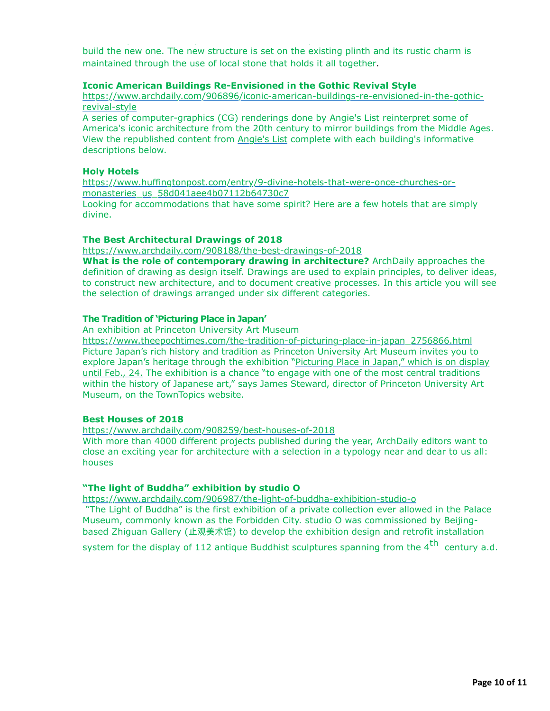build the new one. The new structure is set on the existing plinth and its rustic charm is maintained through the use of local stone that holds it all together.

local life system. Old temple structure was in a dilapidated state and thus arrive the need to

### **Iconic American Buildings Re-Envisioned in the Gothic Revival Style**

[https://www.archdaily.com/906896/iconic-american-buildings-re-envisioned-in-the-gothic](https://www.archdaily.com/906896/iconic-american-buildings-re-envisioned-in-the-gothic-revival-style)revival-style

A series of computer-graphics (CG) renderings done by Angie's List reinterpret some of America's iconic architecture from the 20th century to mirror buildings from the Middle Ages. View the republished content from [Angie's List](https://www.angieslist.com/articles/american-gothic-8-iconic-buildings-re-imagined-gothic-style.htm?utm_medium=website&utm_source=archdaily.com) complete with each building's informative descriptions below.

#### **Holy Hotels**

[https://www.huffingtonpost.com/entry/9-divine-hotels-that-were-once-churches-or](https://www.huffingtonpost.com/entry/9-divine-hotels-that-were-once-churches-or-monasteries_us_58d041aee4b07112b64730c7)monasteries\_us\_58d041aee4b07112b64730c7

Looking for accommodations that have some spirit? Here are a few hotels that are simply divine.

#### **The Best Architectural Drawings of 2018**

<https://www.archdaily.com/908188/the-best-drawings-of-2018>

**What is the role of contemporary drawing in architecture?** ArchDaily approaches the definition of drawing as design itself. Drawings are used to explain principles, to deliver ideas, to construct new architecture, and to document creative processes. In this article you will see the selection of drawings arranged under six different categories.

#### **The Tradition of 'Picturing Place in Japan'**

An exhibition at Princeton University Art Museum

[https://www.theepochtimes.com/the-tradition-of-picturing-place-in-japan\\_2756866.html](https://www.theepochtimes.com/the-tradition-of-picturing-place-in-japan_2756866.html) Picture Japan's rich history and tradition as Princeton University Art Museum invites you to [explore Japan's heritage through the exhibition "Picturing Place in Japan," which is on display](https://artmuseum.princeton.edu/story/exhibition-picturing-place-japan) until Feb., 24. The exhibition is a chance "to engage with one of the most central traditions within the history of Japanese art," says James Steward, director of Princeton University Art Museum, on the TownTopics website.

#### **Best Houses of 2018**

<https://www.archdaily.com/908259/best-houses-of-2018>

With more than 4000 different projects published during the year, ArchDaily editors want to close an exciting year for architecture with a selection in a typology near and dear to us all: houses

### **"The light of Buddha" exhibition by studio O**

<https://www.archdaily.com/906987/the-light-of-buddha-exhibition-studio-o> "The Light of Buddha" is the first exhibition of a private collection ever allowed in the Palace Museum, commonly known as the Forbidden City. studio O was commissioned by Beijing-

based Zhiguan Gallery (止观美术馆) to develop the exhibition design and retrofit installation

system for the display of 112 antique Buddhist sculptures spanning from the  $4<sup>th</sup>$  centurv a.d.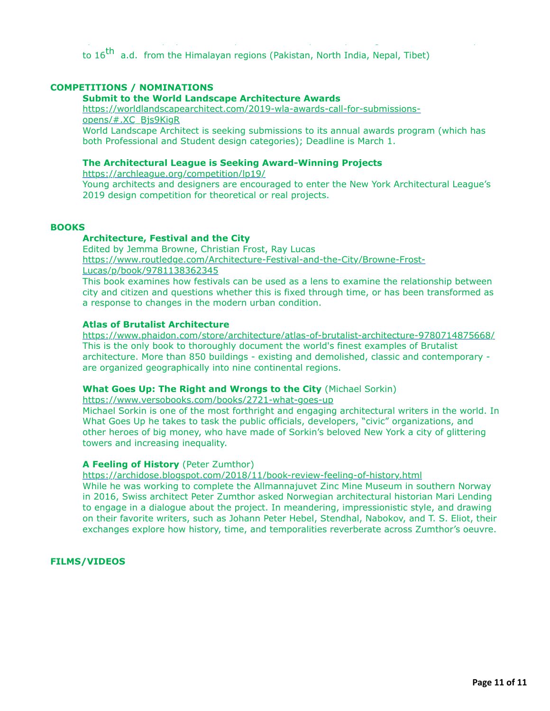system for the display of 112 antique Buddhist sculptures spanning from the 4th century a.d. to  $16^{th}$  a.d. from the Himalayan regions (Pakistan, North India, Nepal, Tibet)

### **COMPETITIONS / NOMINATIONS**

### **Submit to the World Landscape Architecture Awards**

[https://worldlandscapearchitect.com/2019-wla-awards-call-for-submissions](https://worldlandscapearchitect.com/2019-wla-awards-call-for-submissions-opens/#.XC_Bjs9KigR)opens/#.XC\_Bjs9KigR

World Landscape Architect is seeking submissions to its annual awards program (which has both Professional and Student design categories); Deadline is March 1.

#### **The Architectural League is Seeking Award-Winning Projects**

<https://archleague.org/competition/lp19/>

Young architects and designers are encouraged to enter the New York Architectural League's 2019 design competition for theoretical or real projects.

#### **BOOKS**

#### **Architecture, Festival and the City**

Edited by Jemma Browne, Christian Frost, Ray Lucas [https://www.routledge.com/Architecture-Festival-and-the-City/Browne-Frost-](https://www.routledge.com/Architecture-Festival-and-the-City/Browne-Frost-Lucas/p/book/9781138362345)

Lucas/p/book/9781138362345

This book examines how festivals can be used as a lens to examine the relationship between city and citizen and questions whether this is fixed through time, or has been transformed as a response to changes in the modern urban condition.

#### **Atlas of Brutalist Architecture**

<https://www.phaidon.com/store/architecture/atlas-of-brutalist-architecture-9780714875668/> This is the only book to thoroughly document the world's finest examples of Brutalist architecture. More than 850 buildings - existing and demolished, classic and contemporary are organized geographically into nine continental regions.

#### **What Goes Up: The Right and Wrongs to the City** (Michael Sorkin)

<https://www.versobooks.com/books/2721-what-goes-up>

Michael Sorkin is one of the most forthright and engaging architectural writers in the world. In What Goes Up he takes to task the public officials, developers, "civic" organizations, and other heroes of big money, who have made of Sorkin's beloved New York a city of glittering towers and increasing inequality.

#### **A Feeling of History** (Peter Zumthor)

<https://archidose.blogspot.com/2018/11/book-review-feeling-of-history.html>

While he was working to complete the Allmannajuvet Zinc Mine Museum in southern Norway in 2016, Swiss architect Peter Zumthor asked Norwegian architectural historian Mari Lending to engage in a dialogue about the project. In meandering, impressionistic style, and drawing on their favorite writers, such as Johann Peter Hebel, Stendhal, Nabokov, and T. S. Eliot, their exchanges explore how history, time, and temporalities reverberate across Zumthor's oeuvre.

**FILMS/VIDEOS**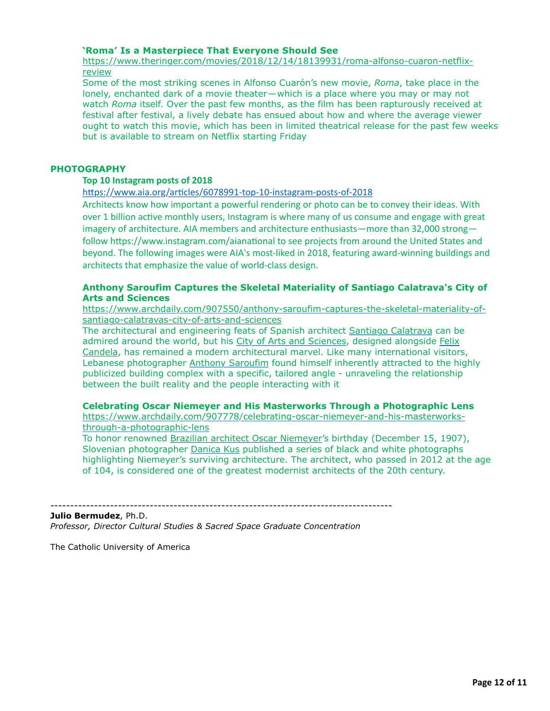#### **'Roma' Is a Masterpiece That Everyone Should See**

[https://www.theringer.com/movies/2018/12/14/18139931/roma-alfonso-cuaron-netflix](https://www.theringer.com/movies/2018/12/14/18139931/roma-alfonso-cuaron-netflix-review)review

Some of the most striking scenes in Alfonso Cuarón's new movie, *Roma*, take place in the lonely, enchanted dark of a movie theater—which is a place where you may or may not watch *Roma* itself. Over the past few months, as the film has been rapturously received at festival after festival, a lively debate has ensued about how and where the average viewer ought to watch this movie, which has been in limited theatrical release for the past few weeks but is available to stream on Netflix starting Friday

### **PHOTOGRAPHY**

#### **Top 10 Instagram posts of 2018**

https://www.aia.org/articles/6078991-top-10-instagram-posts-of-2018

Architects know how important a powerful rendering or photo can be to convey their ideas. With over 1 billion active monthly users, Instagram is where many of us consume and engage with great imagery of architecture. AIA members and architecture enthusiasts—more than 32,000 strong follow https://www.instagram.com/aianational to see projects from around the United States and beyond. The following images were AIA's most-liked in 2018, featuring award-winning buildings and architects that emphasize the value of world-class design.

### **Anthony Saroufim Captures the Skeletal Materiality of Santiago Calatrava's City of Arts and Sciences**

[https://www.archdaily.com/907550/anthony-saroufim-captures-the-skeletal-materiality-of](https://www.archdaily.com/907550/anthony-saroufim-captures-the-skeletal-materiality-of-santiago-calatravas-city-of-arts-and-sciences)santiago-calatravas-city-of-arts-and-sciences

The architectural and engineering feats of Spanish architect [Santiago Calatrava](https://www.archdaily.com/tag/santiago-calatrava) can be admired around the world, but his [City of Arts and Sciences,](https://www.archdaily.com/tag/city-of-arts-and-sciences) designed alongside Felix [Candela, has remained a modern architectural marvel. Like many international visitor](https://www.archdaily.com/tag/felix-candela)s, Lebanese photographer [Anthony Saroufim](https://www.archdaily.com/tag/anthony-saroufim) found himself inherently attracted to the highly publicized building complex with a specific, tailored angle - unraveling the relationship between the built reality and the people interacting with it

#### **Celebrating Oscar Niemeyer and His Masterworks Through a Photographic Lens**

[https://www.archdaily.com/907778/celebrating-oscar-niemeyer-and-his-masterworks](https://www.archdaily.com/907778/celebrating-oscar-niemeyer-and-his-masterworks-through-a-photographic-lens)through-a-photographic-lens

--------------------------------------------------------------------------------------

To honor renowned [Brazilian architect Oscar Niemeyer'](https://www.archdaily.com/tag/oscar-niemeyer)s birthday (December 15, 1907), Slovenian photographer [Danica Kus](https://www.archdaily.com/photographer/danica-o-kus) published a series of black and white photographs highlighting Niemeyer's surviving architecture. The architect, who passed in 2012 at the age of 104, is considered one of the greatest modernist architects of the 20th century.

#### **Julio Bermudez**, Ph.D.

*Professor, Director Cultural Studies & Sacred Space Graduate Concentration*

The Catholic University of America